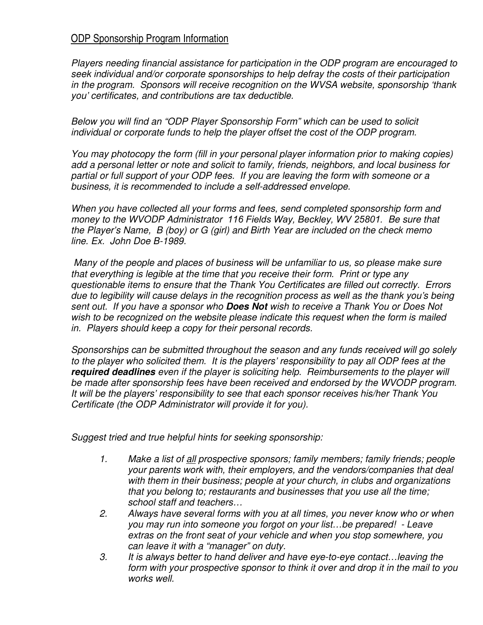## ODP Sponsorship Program Information

*Players needing financial assistance for participation in the ODP program are encouraged to seek individual and/or corporate sponsorships to help defray the costs of their participation in the program. Sponsors will receive recognition on the WVSA website, sponsorship 'thank you' certificates, and contributions are tax deductible.* 

*Below you will find an "ODP Player Sponsorship Form" which can be used to solicit individual or corporate funds to help the player offset the cost of the ODP program.* 

*You may photocopy the form (fill in your personal player information prior to making copies) add a personal letter or note and solicit to family, friends, neighbors, and local business for partial or full support of your ODP fees. If you are leaving the form with someone or a business, it is recommended to include a self-addressed envelope.* 

*When you have collected all your forms and fees, send completed sponsorship form and money to the WVODP Administrator 116 Fields Way, Beckley, WV 25801. Be sure that the Player's Name, B (boy) or G (girl) and Birth Year are included on the check memo line. Ex. John Doe B-1989.* 

 *Many of the people and places of business will be unfamiliar to us, so please make sure that everything is legible at the time that you receive their form. Print or type any questionable items to ensure that the Thank You Certificates are filled out correctly. Errors due to legibility will cause delays in the recognition process as well as the thank you's being sent out. If you have a sponsor who Does Not wish to receive a Thank You or Does Not wish to be recognized on the website please indicate this request when the form is mailed in. Players should keep a copy for their personal records.* 

*Sponsorships can be submitted throughout the season and any funds received will go solely to the player who solicited them. It is the players' responsibility to pay all ODP fees at the required deadlines even if the player is soliciting help. Reimbursements to the player will be made after sponsorship fees have been received and endorsed by the WVODP program. It will be the players' responsibility to see that each sponsor receives his/her Thank You Certificate (the ODP Administrator will provide it for you).* 

*Suggest tried and true helpful hints for seeking sponsorship:* 

- *1. Make a list of all prospective sponsors; family members; family friends; people your parents work with, their employers, and the vendors/companies that deal with them in their business; people at your church, in clubs and organizations that you belong to; restaurants and businesses that you use all the time; school staff and teachers…*
- *2. Always have several forms with you at all times, you never know who or when you may run into someone you forgot on your list…be prepared! - Leave extras on the front seat of your vehicle and when you stop somewhere, you can leave it with a "manager" on duty.*
- *3. It is always better to hand deliver and have eye-to-eye contact…leaving the form with your prospective sponsor to think it over and drop it in the mail to you works well.*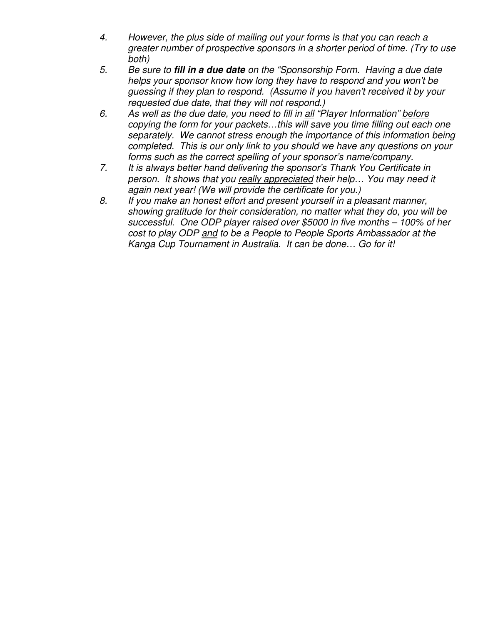- *4. However, the plus side of mailing out your forms is that you can reach a greater number of prospective sponsors in a shorter period of time. (Try to use both)*
- *5. Be sure to fill in a due date on the "Sponsorship Form. Having a due date helps your sponsor know how long they have to respond and you won't be guessing if they plan to respond. (Assume if you haven't received it by your requested due date, that they will not respond.)*
- *6. As well as the due date, you need to fill in all "Player Information" before copying the form for your packets…this will save you time filling out each one separately. We cannot stress enough the importance of this information being completed. This is our only link to you should we have any questions on your forms such as the correct spelling of your sponsor's name/company.*
- *7. It is always better hand delivering the sponsor's Thank You Certificate in person. It shows that you really appreciated their help… You may need it again next year! (We will provide the certificate for you.)*
- *8. If you make an honest effort and present yourself in a pleasant manner, showing gratitude for their consideration, no matter what they do, you will be successful. One ODP player raised over \$5000 in five months – 100% of her cost to play ODP and to be a People to People Sports Ambassador at the Kanga Cup Tournament in Australia. It can be done… Go for it!*